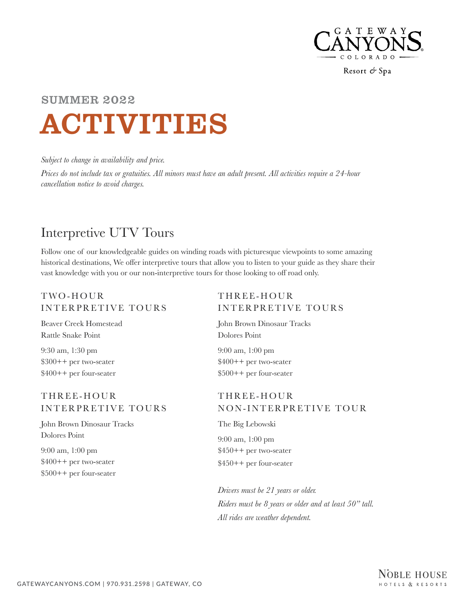

# ACTIVITIES SUMMER 2022

*Subject to change in availability and price.*

*Prices do not include tax or gratuities. All minors must have an adult present. All activities require a 24-hour cancellation notice to avoid charges.*

# Interpretive UTV Tours

Follow one of our knowledgeable guides on winding roads with picturesque viewpoints to some amazing historical destinations, We offer interpretive tours that allow you to listen to your guide as they share their vast knowledge with you or our non-interpretive tours for those looking to off road only.

### T WO - HOUR INTERPRETIVE TOURS

Beaver Creek Homestead Rattle Snake Point

9:30 am, 1:30 pm \$300++ per two-seater \$400++ per four-seater

### THREE- HOUR INTERPRETIVE TOURS

John Brown Dinosaur Tracks Dolores Point

9:00 am, 1:00 pm \$400++ per two-seater \$500++ per four-seater

### THREE- HOUR INTERPRETIVE TOURS

John Brown Dinosaur Tracks Dolores Point

9:00 am, 1:00 pm \$400++ per two-seater \$500++ per four-seater

### THREE- HOUR NON-INTERPRETIVE TOUR

The Big Lebowski 9:00 am, 1:00 pm \$450++ per two-seater \$450++ per four-seater

*Drivers must be 21 years or older. Riders must be 8 years or older and at least 50" tall. All rides are weather dependent.*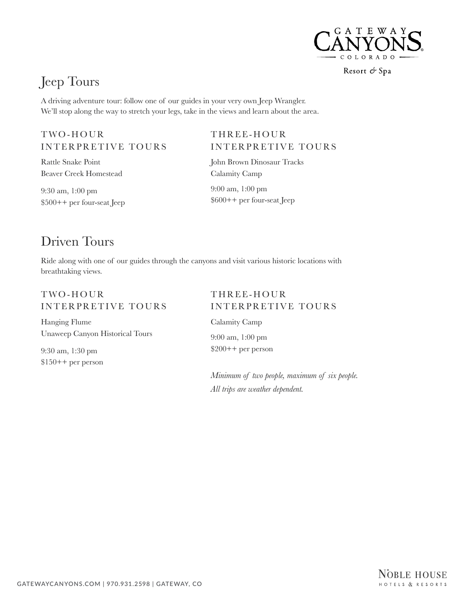

# Jeep Tours

A driving adventure tour: follow one of our guides in your very own Jeep Wrangler. We'll stop along the way to stretch your legs, take in the views and learn about the area.

### T WO - HOUR INTERPRETIVE TOURS

Rattle Snake Point Beaver Creek Homestead

9:30 am, 1:00 pm \$500++ per four-seat Jeep

### THREE- HOUR INTERPRETIVE TOURS

John Brown Dinosaur Tracks Calamity Camp

9:00 am, 1:00 pm \$600++ per four-seat Jeep

# Driven Tours

Ride along with one of our guides through the canyons and visit various historic locations with breathtaking views.

### T WO - HOUR INTERPRETIVE TOURS

Hanging Flume Unaweep Canyon Historical Tours

9:30 am, 1:30 pm \$150++ per person

### THREE- HOUR INTERPRETIVE TOURS

Calamity Camp 9:00 am, 1:00 pm \$200++ per person

*Minimum of two people, maximum of six people. All trips are weather dependent.*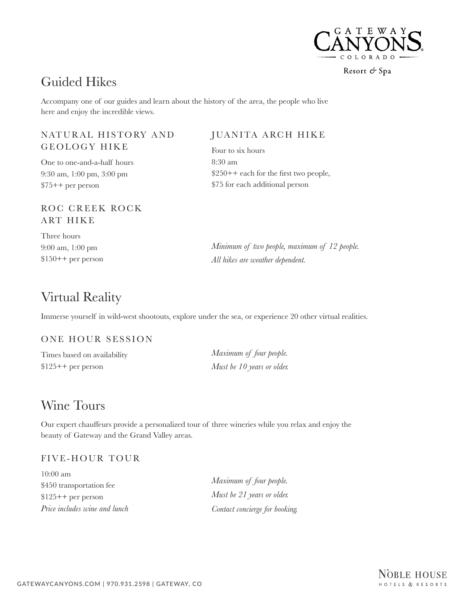

# Guided Hikes

Accompany one of our guides and learn about the history of the area, the people who live here and enjoy the incredible views.

### NATURAL HISTORY AND GEOLOGY HIKE

One to one-and-a-half hours 9:30 am, 1:00 pm, 3:00 pm \$75++ per person

### ROC CREEK ROCK A RT HIKE

Three hours 9:00 am, 1:00 pm \$150++ per person

### Virtual Reality

Immerse yourself in wild-west shootouts, explore under the sea, or experience 20 other virtual realities.

#### ONE HOUR SESSION

Times based on availability \$125++ per person

*Maximum of four people. Must be 10 years or older.*

JUANITA ARCH HIKE

\$250++ each for the first two people,

*Minimum of two people, maximum of 12 people.*

\$75 for each additional person

*All hikes are weather dependent.*

Four to six hours

8:30 am

### Wine Tours

Our expert chauffeurs provide a personalized tour of three wineries while you relax and enjoy the beauty of Gateway and the Grand Valley areas.

### FIVE- HOUR TOUR

10:00 am \$450 transportation fee \$125++ per person *Price includes wine and lunch*

*Maximum of four people. Must be 21 years or older. Contact concierge for booking.*